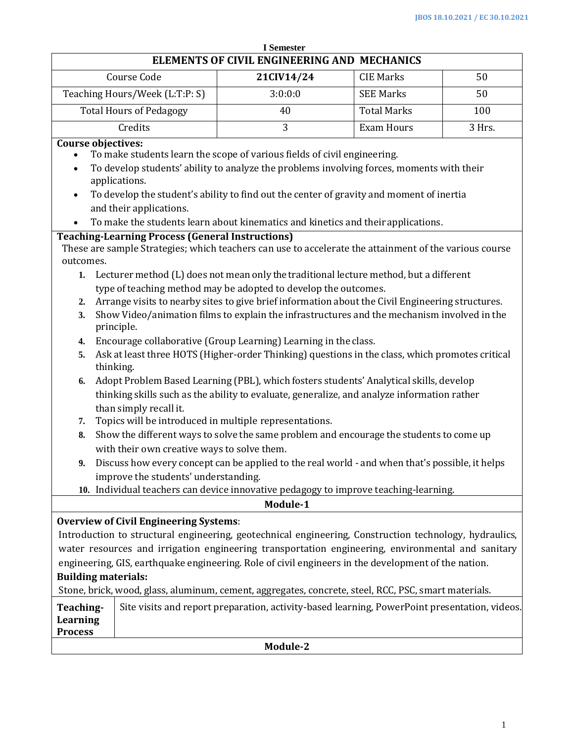| <b>I</b> Semester                                                                                                                                                                                                                                                                                                                                                                                                                                                                                                                                                                                                |                                                                                                                                                                                                                                                                                                                                                                                                    |                                                                                                                                                                                                                                                                                                                                                                                                                                                                                                                             |                    |     |  |
|------------------------------------------------------------------------------------------------------------------------------------------------------------------------------------------------------------------------------------------------------------------------------------------------------------------------------------------------------------------------------------------------------------------------------------------------------------------------------------------------------------------------------------------------------------------------------------------------------------------|----------------------------------------------------------------------------------------------------------------------------------------------------------------------------------------------------------------------------------------------------------------------------------------------------------------------------------------------------------------------------------------------------|-----------------------------------------------------------------------------------------------------------------------------------------------------------------------------------------------------------------------------------------------------------------------------------------------------------------------------------------------------------------------------------------------------------------------------------------------------------------------------------------------------------------------------|--------------------|-----|--|
|                                                                                                                                                                                                                                                                                                                                                                                                                                                                                                                                                                                                                  |                                                                                                                                                                                                                                                                                                                                                                                                    | ELEMENTS OF CIVIL ENGINEERING AND MECHANICS                                                                                                                                                                                                                                                                                                                                                                                                                                                                                 |                    |     |  |
|                                                                                                                                                                                                                                                                                                                                                                                                                                                                                                                                                                                                                  | Course Code                                                                                                                                                                                                                                                                                                                                                                                        | 21CIV14/24                                                                                                                                                                                                                                                                                                                                                                                                                                                                                                                  | <b>CIE Marks</b>   | 50  |  |
|                                                                                                                                                                                                                                                                                                                                                                                                                                                                                                                                                                                                                  | Teaching Hours/Week (L:T:P: S)                                                                                                                                                                                                                                                                                                                                                                     | 3:0:0:0                                                                                                                                                                                                                                                                                                                                                                                                                                                                                                                     | <b>SEE Marks</b>   | 50  |  |
| <b>Total Hours of Pedagogy</b>                                                                                                                                                                                                                                                                                                                                                                                                                                                                                                                                                                                   |                                                                                                                                                                                                                                                                                                                                                                                                    | 40                                                                                                                                                                                                                                                                                                                                                                                                                                                                                                                          | <b>Total Marks</b> | 100 |  |
|                                                                                                                                                                                                                                                                                                                                                                                                                                                                                                                                                                                                                  | 3<br>Credits<br><b>Exam Hours</b>                                                                                                                                                                                                                                                                                                                                                                  |                                                                                                                                                                                                                                                                                                                                                                                                                                                                                                                             | 3 Hrs.             |     |  |
| <b>Course objectives:</b><br>To make students learn the scope of various fields of civil engineering.<br>To develop students' ability to analyze the problems involving forces, moments with their<br>applications.<br>To develop the student's ability to find out the center of gravity and moment of inertia<br>$\bullet$<br>and their applications.<br>To make the students learn about kinematics and kinetics and their applications.<br><b>Teaching-Learning Process (General Instructions)</b><br>These are sample Strategies; which teachers can use to accelerate the attainment of the various course |                                                                                                                                                                                                                                                                                                                                                                                                    |                                                                                                                                                                                                                                                                                                                                                                                                                                                                                                                             |                    |     |  |
| outcomes.<br>Lecturer method (L) does not mean only the traditional lecture method, but a different<br>1.<br>type of teaching method may be adopted to develop the outcomes.<br>Arrange visits to nearby sites to give brief information about the Civil Engineering structures.<br>2.<br>Show Video/animation films to explain the infrastructures and the mechanism involved in the<br>3.<br>principle.                                                                                                                                                                                                        |                                                                                                                                                                                                                                                                                                                                                                                                    |                                                                                                                                                                                                                                                                                                                                                                                                                                                                                                                             |                    |     |  |
| 4.<br>5.<br>6.                                                                                                                                                                                                                                                                                                                                                                                                                                                                                                                                                                                                   | Encourage collaborative (Group Learning) Learning in the class.<br>Ask at least three HOTS (Higher-order Thinking) questions in the class, which promotes critical<br>thinking.<br>Adopt Problem Based Learning (PBL), which fosters students' Analytical skills, develop<br>thinking skills such as the ability to evaluate, generalize, and analyze information rather<br>than simply recall it. |                                                                                                                                                                                                                                                                                                                                                                                                                                                                                                                             |                    |     |  |
| 7.<br>8.<br>9.                                                                                                                                                                                                                                                                                                                                                                                                                                                                                                                                                                                                   | with their own creative ways to solve them.<br>improve the students' understanding.                                                                                                                                                                                                                                                                                                                | Topics will be introduced in multiple representations.<br>Show the different ways to solve the same problem and encourage the students to come up<br>Discuss how every concept can be applied to the real world - and when that's possible, it helps<br>10. Individual teachers can device innovative pedagogy to improve teaching-learning.                                                                                                                                                                                |                    |     |  |
| Module-1                                                                                                                                                                                                                                                                                                                                                                                                                                                                                                                                                                                                         |                                                                                                                                                                                                                                                                                                                                                                                                    |                                                                                                                                                                                                                                                                                                                                                                                                                                                                                                                             |                    |     |  |
| <b>Building materials:</b><br>Teaching-<br><b>Learning</b><br><b>Process</b>                                                                                                                                                                                                                                                                                                                                                                                                                                                                                                                                     | <b>Overview of Civil Engineering Systems:</b>                                                                                                                                                                                                                                                                                                                                                      | Introduction to structural engineering, geotechnical engineering, Construction technology, hydraulics,<br>water resources and irrigation engineering transportation engineering, environmental and sanitary<br>engineering, GIS, earthquake engineering. Role of civil engineers in the development of the nation.<br>Stone, brick, wood, glass, aluminum, cement, aggregates, concrete, steel, RCC, PSC, smart materials.<br>Site visits and report preparation, activity-based learning, PowerPoint presentation, videos. |                    |     |  |

**Module-2**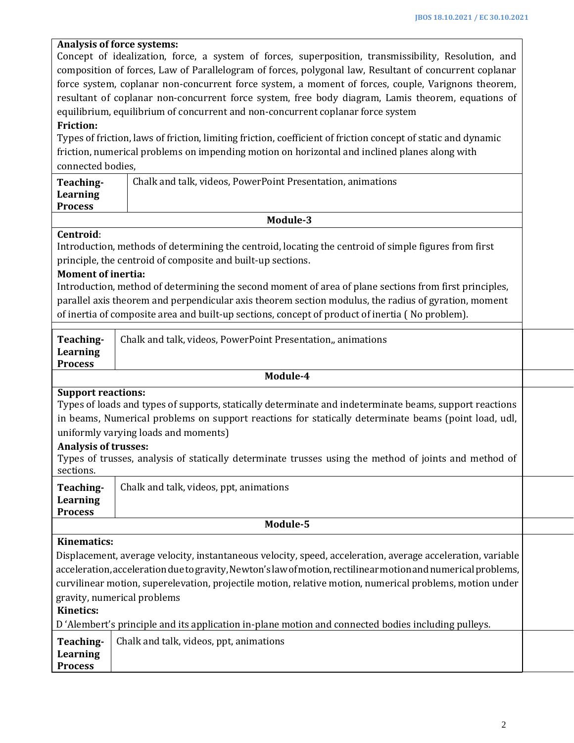| <b>Analysis of force systems:</b>                                                                             |                                                                                                    |  |  |  |
|---------------------------------------------------------------------------------------------------------------|----------------------------------------------------------------------------------------------------|--|--|--|
| Concept of idealization, force, a system of forces, superposition, transmissibility, Resolution, and          |                                                                                                    |  |  |  |
| composition of forces, Law of Parallelogram of forces, polygonal law, Resultant of concurrent coplanar        |                                                                                                    |  |  |  |
| force system, coplanar non-concurrent force system, a moment of forces, couple, Varignons theorem,            |                                                                                                    |  |  |  |
| resultant of coplanar non-concurrent force system, free body diagram, Lamis theorem, equations of             |                                                                                                    |  |  |  |
| equilibrium, equilibrium of concurrent and non-concurrent coplanar force system                               |                                                                                                    |  |  |  |
| <b>Friction:</b>                                                                                              |                                                                                                    |  |  |  |
| Types of friction, laws of friction, limiting friction, coefficient of friction concept of static and dynamic |                                                                                                    |  |  |  |
| friction, numerical problems on impending motion on horizontal and inclined planes along with                 |                                                                                                    |  |  |  |
| connected bodies.                                                                                             |                                                                                                    |  |  |  |
| Teaching-                                                                                                     | Chalk and talk, videos, PowerPoint Presentation, animations                                        |  |  |  |
| <b>Learning</b>                                                                                               |                                                                                                    |  |  |  |
| <b>Process</b>                                                                                                |                                                                                                    |  |  |  |
|                                                                                                               | Module-3                                                                                           |  |  |  |
| Centroid:                                                                                                     |                                                                                                    |  |  |  |
| Introduction, methods of determining the centroid, locating the centroid of simple figures from first         |                                                                                                    |  |  |  |
| principle, the centroid of composite and built-up sections.                                                   |                                                                                                    |  |  |  |
| <b>Moment of inertia:</b>                                                                                     |                                                                                                    |  |  |  |
| Introduction, method of determining the second moment of area of plane sections from first principles,        |                                                                                                    |  |  |  |
| parallel axis theorem and perpendicular axis theorem section modulus, the radius of gyration, moment          |                                                                                                    |  |  |  |
| of inertia of composite area and built-up sections, concept of product of inertia (No problem).               |                                                                                                    |  |  |  |
|                                                                                                               |                                                                                                    |  |  |  |
| Teaching-                                                                                                     | Chalk and talk, videos, PowerPoint Presentation,, animations                                       |  |  |  |
| Learning                                                                                                      |                                                                                                    |  |  |  |
| <b>Process</b>                                                                                                |                                                                                                    |  |  |  |
| Module-4                                                                                                      |                                                                                                    |  |  |  |
| <b>Support reactions:</b>                                                                                     |                                                                                                    |  |  |  |
| Types of loads and types of supports, statically determinate and indeterminate beams, support reactions       |                                                                                                    |  |  |  |
| in beams, Numerical problems on support reactions for statically determinate beams (point load, udl,          |                                                                                                    |  |  |  |
| uniformly varying loads and moments)                                                                          |                                                                                                    |  |  |  |
| <b>Analysis of trusses:</b>                                                                                   |                                                                                                    |  |  |  |
| Types of trusses, analysis of statically determinate trusses using the method of joints and method of         |                                                                                                    |  |  |  |
| sections.                                                                                                     |                                                                                                    |  |  |  |
| Teaching-                                                                                                     | Chalk and talk, videos, ppt, animations                                                            |  |  |  |
| <b>Learning</b>                                                                                               |                                                                                                    |  |  |  |
| <b>Process</b>                                                                                                |                                                                                                    |  |  |  |
|                                                                                                               | Module-5                                                                                           |  |  |  |
| <b>Kinematics:</b>                                                                                            |                                                                                                    |  |  |  |
|                                                                                                               |                                                                                                    |  |  |  |
| Displacement, average velocity, instantaneous velocity, speed, acceleration, average acceleration, variable   |                                                                                                    |  |  |  |
| acceleration, acceleration due to gravity, Newton's law of motion, rectilinear motion and numerical problems, |                                                                                                    |  |  |  |
| curvilinear motion, superelevation, projectile motion, relative motion, numerical problems, motion under      |                                                                                                    |  |  |  |
| gravity, numerical problems                                                                                   |                                                                                                    |  |  |  |
| <b>Kinetics:</b>                                                                                              |                                                                                                    |  |  |  |
|                                                                                                               | D'Alembert's principle and its application in-plane motion and connected bodies including pulleys. |  |  |  |
| Teaching-                                                                                                     | Chalk and talk, videos, ppt, animations                                                            |  |  |  |
| <b>Learning</b>                                                                                               |                                                                                                    |  |  |  |
| <b>Process</b>                                                                                                |                                                                                                    |  |  |  |
|                                                                                                               |                                                                                                    |  |  |  |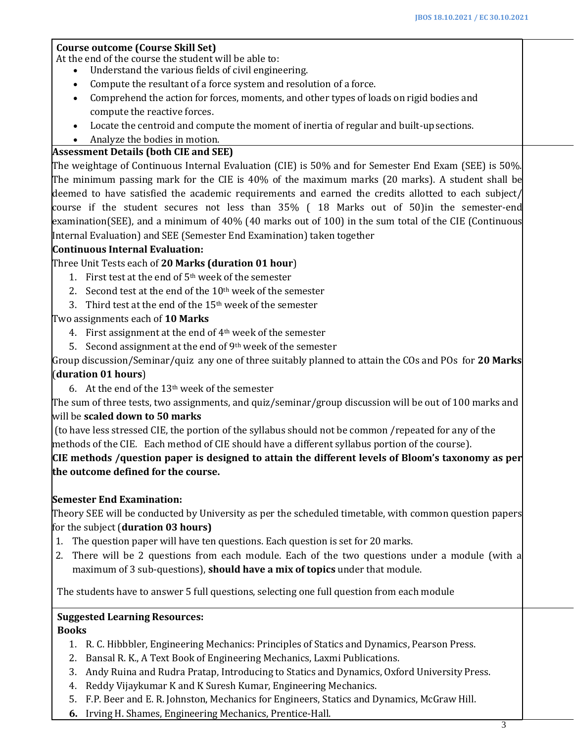#### **Course outcome (Course Skill Set)**

At the end of the course the student will be able to:

- Understand the various fields of civil engineering.
- Compute the resultant of a force system and resolution of a force.
- Comprehend the action for forces, moments, and other types of loads on rigid bodies and compute the reactive forces.
- Locate the centroid and compute the moment of inertia of regular and built-upsections.
- Analyze the bodies in motion.

### **Assessment Details (both CIE and SEE)**

The weightage of Continuous Internal Evaluation (CIE) is 50% and for Semester End Exam (SEE) is 50%. The minimum passing mark for the CIE is 40% of the maximum marks (20 marks). A student shall be deemed to have satisfied the academic requirements and earned the credits allotted to each subject/ course if the student secures not less than 35% ( 18 Marks out of 50)in the semester-end examination(SEE), and a minimum of 40% (40 marks out of 100) in the sum total of the CIE (Continuous Internal Evaluation) and SEE (Semester End Examination) taken together

#### **Continuous Internal Evaluation:**

Three Unit Tests each of **20 Marks (duration 01 hour**)

- 1. First test at the end of  $5<sup>th</sup>$  week of the semester
- 2. Second test at the end of the  $10<sup>th</sup>$  week of the semester
- 3. Third test at the end of the 15th week of the semester

#### Two assignments each of **10 Marks**

- 4. First assignment at the end of 4th week of the semester
- 5. Second assignment at the end of  $9<sup>th</sup>$  week of the semester

Group discussion/Seminar/quiz any one of three suitably planned to attain the COs and POs for **20 Marks** (**duration 01 hours**)

6. At the end of the  $13<sup>th</sup>$  week of the semester

The sum of three tests, two assignments, and quiz/seminar/group discussion will be out of 100 marks and will be **scaled down to 50 marks**

(to have less stressed CIE, the portion of the syllabus should not be common /repeated for any of the methods of the CIE. Each method of CIE should have a different syllabus portion of the course).

**CIE methods /question paper is designed to attain the different levels of Bloom's taxonomy as per the outcome defined for the course.**

## **Semester End Examination:**

Theory SEE will be conducted by University as per the scheduled timetable, with common question papers for the subject (**duration 03 hours)**

- 1. The question paper will have ten questions. Each question is set for 20 marks.
- 2. There will be 2 questions from each module. Each of the two questions under a module (with a maximum of 3 sub-questions), **should have a mix of topics** under that module.

The students have to answer 5 full questions, selecting one full question from each module

# **Suggested Learning Resources:**

**Books**

- 1. R. C. Hibbbler, Engineering Mechanics: Principles of Statics and Dynamics, Pearson Press.
- 2. Bansal R. K., A Text Book of Engineering Mechanics, Laxmi Publications.
- 3. Andy Ruina and Rudra Pratap, Introducing to Statics and Dynamics, Oxford University Press.
- 4. Reddy Vijaykumar K and K Suresh Kumar, Engineering Mechanics.
- 5. F.P. Beer and E. R. Johnston, Mechanics for Engineers, Statics and Dynamics, McGraw Hill.
- **6.** Irving H. Shames, Engineering Mechanics, Prentice-Hall.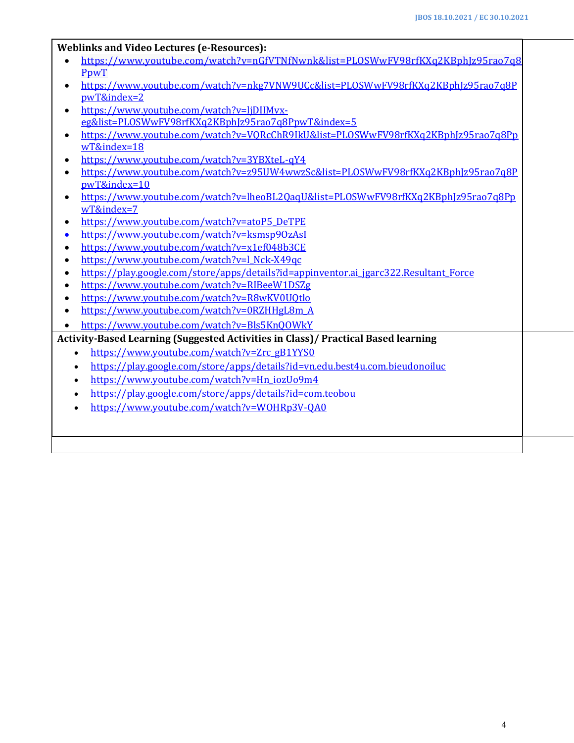#### **Weblinks and Video Lectures (e-Resources):**

- [https://www.youtube.com/watch?v=nGfVTNfNwnk&list=PLOSWwFV98rfKXq2KBphJz95rao7q8](https://www.youtube.com/watch?v=nGfVTNfNwnk&list=PLOSWwFV98rfKXq2KBphJz95rao7q8PpwT) [PpwT](https://www.youtube.com/watch?v=nGfVTNfNwnk&list=PLOSWwFV98rfKXq2KBphJz95rao7q8PpwT)
- [https://www.youtube.com/watch?v=nkg7VNW9UCc&list=PLOSWwFV98rfKXq2KBphJz95rao7q8P](https://www.youtube.com/watch?v=nkg7VNW9UCc&list=PLOSWwFV98rfKXq2KBphJz95rao7q8PpwT&index=2) [pwT&index=2](https://www.youtube.com/watch?v=nkg7VNW9UCc&list=PLOSWwFV98rfKXq2KBphJz95rao7q8PpwT&index=2)
- [https://www.youtube.com/watch?v=ljDIIMvx](https://www.youtube.com/watch?v=ljDIIMvx-eg&list=PLOSWwFV98rfKXq2KBphJz95rao7q8PpwT&index=5)[eg&list=PLOSWwFV98rfKXq2KBphJz95rao7q8PpwT&index=5](https://www.youtube.com/watch?v=ljDIIMvx-eg&list=PLOSWwFV98rfKXq2KBphJz95rao7q8PpwT&index=5)
- [https://www.youtube.com/watch?v=VQRcChR9IkU&list=PLOSWwFV98rfKXq2KBphJz95rao7q8Pp](https://www.youtube.com/watch?v=VQRcChR9IkU&list=PLOSWwFV98rfKXq2KBphJz95rao7q8PpwT&index=18) [wT&index=18](https://www.youtube.com/watch?v=VQRcChR9IkU&list=PLOSWwFV98rfKXq2KBphJz95rao7q8PpwT&index=18)
- <https://www.youtube.com/watch?v=3YBXteL-qY4>
- [https://www.youtube.com/watch?v=z95UW4wwzSc&list=PLOSWwFV98rfKXq2KBphJz95rao7q8P](https://www.youtube.com/watch?v=z95UW4wwzSc&list=PLOSWwFV98rfKXq2KBphJz95rao7q8PpwT&index=10) [pwT&index=10](https://www.youtube.com/watch?v=z95UW4wwzSc&list=PLOSWwFV98rfKXq2KBphJz95rao7q8PpwT&index=10)
- [https://www.youtube.com/watch?v=lheoBL2QaqU&list=PLOSWwFV98rfKXq2KBphJz95rao7q8Pp](https://www.youtube.com/watch?v=lheoBL2QaqU&list=PLOSWwFV98rfKXq2KBphJz95rao7q8PpwT&index=7) [wT&index=7](https://www.youtube.com/watch?v=lheoBL2QaqU&list=PLOSWwFV98rfKXq2KBphJz95rao7q8PpwT&index=7)
- [https://www.youtube.com/watch?v=atoP5\\_DeTPE](https://www.youtube.com/watch?v=atoP5_DeTPE)
- <https://www.youtube.com/watch?v=ksmsp9OzAsI>
- <https://www.youtube.com/watch?v=x1ef048b3CE>
- [https://www.youtube.com/watch?v=l\\_Nck-X49qc](https://www.youtube.com/watch?v=l_Nck-X49qc)
- [https://play.google.com/store/apps/details?id=appinventor.ai\\_jgarc322.Resultant\\_Force](https://play.google.com/store/apps/details?id=appinventor.ai_jgarc322.Resultant_Force)
- <https://www.youtube.com/watch?v=RIBeeW1DSZg>
- <https://www.youtube.com/watch?v=R8wKV0UQtlo>
- [https://www.youtube.com/watch?v=0RZHHgL8m\\_A](https://www.youtube.com/watch?v=0RZHHgL8m_A)
- <https://www.youtube.com/watch?v=Bls5KnQOWkY>

**Activity-Based Learning (Suggested Activities in Class)/ Practical Based learning**

- [https://www.youtube.com/watch?v=Zrc\\_gB1YYS0](https://www.youtube.com/watch?v=Zrc_gB1YYS0)
- <https://play.google.com/store/apps/details?id=vn.edu.best4u.com.bieudonoiluc>
- [https://www.youtube.com/watch?v=Hn\\_iozUo9m4](https://www.youtube.com/watch?v=Hn_iozUo9m4)
- <https://play.google.com/store/apps/details?id=com.teobou>
- <https://www.youtube.com/watch?v=WOHRp3V-QA0>